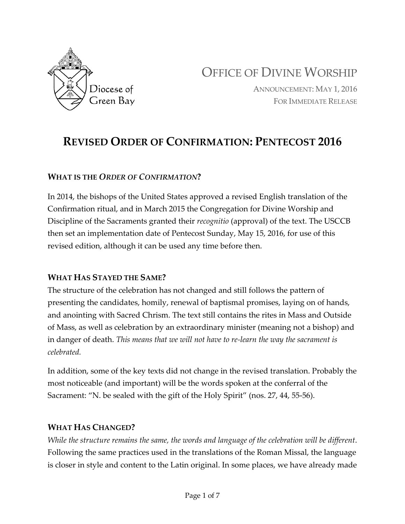

OFFICE OF DIVINE WORSHIP

ANNOUNCEMENT: MAY 1, 2016 FOR IMMEDIATE RELEASE

# **REVISED ORDER OF CONFIRMATION: PENTECOST 2016**

#### **WHAT IS THE** *ORDER OF CONFIRMATION***?**

In 2014, the bishops of the United States approved a revised English translation of the Confirmation ritual, and in March 2015 the Congregation for Divine Worship and Discipline of the Sacraments granted their *recognitio* (approval) of the text. The USCCB then set an implementation date of Pentecost Sunday, May 15, 2016, for use of this revised edition, although it can be used any time before then.

#### **WHAT HAS STAYED THE SAME?**

The structure of the celebration has not changed and still follows the pattern of presenting the candidates, homily, renewal of baptismal promises, laying on of hands, and anointing with Sacred Chrism. The text still contains the rites in Mass and Outside of Mass, as well as celebration by an extraordinary minister (meaning not a bishop) and in danger of death. *This means that we will not have to re-learn the way the sacrament is celebrated.*

In addition, some of the key texts did not change in the revised translation. Probably the most noticeable (and important) will be the words spoken at the conferral of the Sacrament: "N. be sealed with the gift of the Holy Spirit" (nos. 27, 44, 55-56).

#### **WHAT HAS CHANGED?**

*While the structure remains the same, the words and language of the celebration will be different*. Following the same practices used in the translations of the Roman Missal, the language is closer in style and content to the Latin original. In some places, we have already made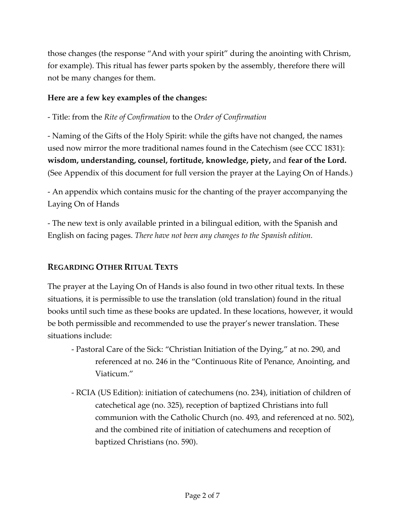those changes (the response "And with your spirit" during the anointing with Chrism, for example). This ritual has fewer parts spoken by the assembly, therefore there will not be many changes for them.

#### **Here are a few key examples of the changes:**

- Title: from the *Rite of Confirmation* to the *Order of Confirmation*

- Naming of the Gifts of the Holy Spirit: while the gifts have not changed, the names used now mirror the more traditional names found in the Catechism (see CCC 1831): **wisdom, understanding, counsel, fortitude, knowledge, piety,** and **fear of the Lord.** (See Appendix of this document for full version the prayer at the Laying On of Hands.)

- An appendix which contains music for the chanting of the prayer accompanying the Laying On of Hands

- The new text is only available printed in a bilingual edition, with the Spanish and English on facing pages. *There have not been any changes to the Spanish edition.*

### **REGARDING OTHER RITUAL TEXTS**

The prayer at the Laying On of Hands is also found in two other ritual texts. In these situations, it is permissible to use the translation (old translation) found in the ritual books until such time as these books are updated. In these locations, however, it would be both permissible and recommended to use the prayer's newer translation. These situations include:

- Pastoral Care of the Sick: "Christian Initiation of the Dying," at no. 290, and referenced at no. 246 in the "Continuous Rite of Penance, Anointing, and Viaticum."
- RCIA (US Edition): initiation of catechumens (no. 234), initiation of children of catechetical age (no. 325), reception of baptized Christians into full communion with the Catholic Church (no. 493, and referenced at no. 502), and the combined rite of initiation of catechumens and reception of baptized Christians (no. 590).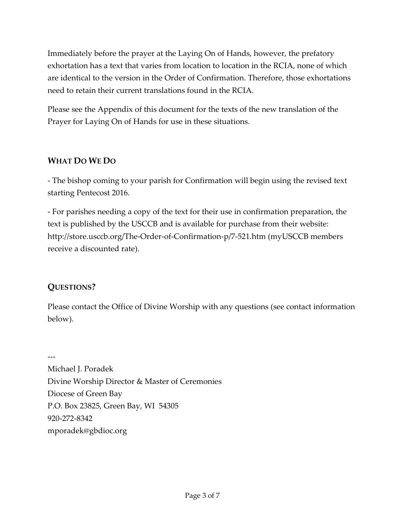Immediately before the prayer at the Laying On of Hands, however, the prefatory exhortation has a text that varies from location to location in the RCIA, none of which are identical to the version in the Order of Confirmation. Therefore, those exhortations need to retain their current translations found in the RCIA.

Please see the Appendix of this document for the texts of the new translation of the Prayer for Laying On of Hands for use in these situations.

### **WHAT DO WE DO**

- The bishop coming to your parish for Confirmation will begin using the revised text starting Pentecost 2016.

- For parishes needing a copy of the text for their use in confirmation preparation, the text is published by the USCCB and is available for purchase from their website: http://store.usccb.org/The-Order-of-Confirmation-p/7-521.htm (myUSCCB members receive a discounted rate).

#### **QUESTIONS?**

Please contact the Office of Divine Worship with any questions (see contact information below).

--- Michael J. Poradek

Divine Worship Director & Master of Ceremonies Diocese of Green Bay P.O. Box 23825, Green Bay, WI 54305 920-272-8342 mporadek@gbdioc.org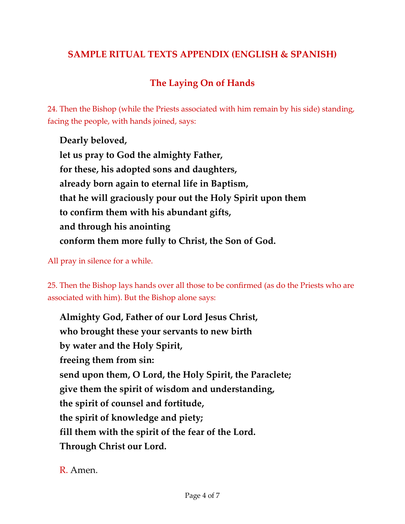# **SAMPLE RITUAL TEXTS APPENDIX (ENGLISH & SPANISH)**

# **The Laying On of Hands**

24. Then the Bishop (while the Priests associated with him remain by his side) standing, facing the people, with hands joined, says:

**Dearly beloved, let us pray to God the almighty Father, for these, his adopted sons and daughters, already born again to eternal life in Baptism, that he will graciously pour out the Holy Spirit upon them to confirm them with his abundant gifts, and through his anointing conform them more fully to Christ, the Son of God.**

All pray in silence for a while.

25. Then the Bishop lays hands over all those to be confirmed (as do the Priests who are associated with him). But the Bishop alone says:

**Almighty God, Father of our Lord Jesus Christ, who brought these your servants to new birth by water and the Holy Spirit, freeing them from sin: send upon them, O Lord, the Holy Spirit, the Paraclete; give them the spirit of wisdom and understanding, the spirit of counsel and fortitude, the spirit of knowledge and piety; fill them with the spirit of the fear of the Lord. Through Christ our Lord.**

R. Amen.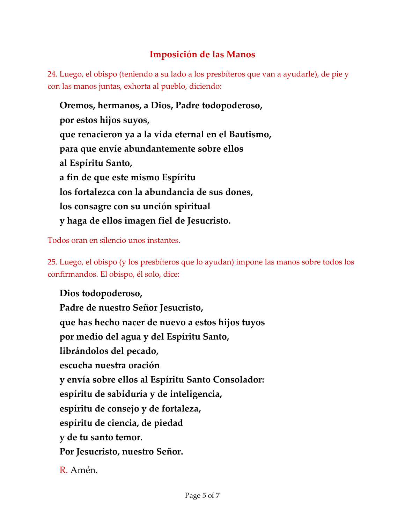# **Imposición de las Manos**

24. Luego, el obispo (teniendo a su lado a los presbíteros que van a ayudarle), de pie y con las manos juntas, exhorta al pueblo, diciendo:

**Oremos, hermanos, a Dios, Padre todopoderoso, por estos hijos suyos, que renacieron ya a la vida eternal en el Bautismo, para que envíe abundantemente sobre ellos al Espíritu Santo, a fin de que este mismo Espíritu los fortalezca con la abundancia de sus dones, los consagre con su unción spiritual y haga de ellos imagen fiel de Jesucristo.** 

Todos oran en silencio unos instantes.

25. Luego, el obispo (y los presbíteros que lo ayudan) impone las manos sobre todos los confirmandos. El obispo, él solo, dice:

**Dios todopoderoso, Padre de nuestro Señor Jesucristo, que has hecho nacer de nuevo a estos hijos tuyos por medio del agua y del Espíritu Santo, librándolos del pecado, escucha nuestra oración y envía sobre ellos al Espíritu Santo Consolador: espíritu de sabiduría y de inteligencia, espíritu de consejo y de fortaleza, espíritu de ciencia, de piedad y de tu santo temor. Por Jesucristo, nuestro Señor.**

R. Amén.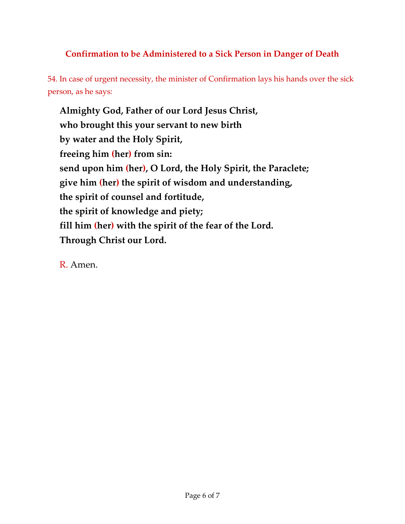## **Confirmation to be Administered to a Sick Person in Danger of Death**

54. In case of urgent necessity, the minister of Confirmation lays his hands over the sick person, as he says:

**Almighty God, Father of our Lord Jesus Christ, who brought this your servant to new birth by water and the Holy Spirit, freeing him (her) from sin: send upon him (her), O Lord, the Holy Spirit, the Paraclete; give him (her) the spirit of wisdom and understanding, the spirit of counsel and fortitude, the spirit of knowledge and piety; fill him (her) with the spirit of the fear of the Lord. Through Christ our Lord.**

R. Amen.